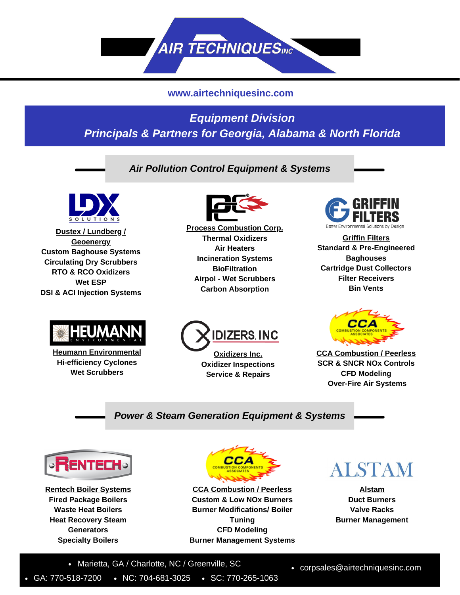

### **www.airtechniquesinc.com**

# *Equipment Division Principals & Partners for Georgia, Alabama & North Florida*

*Air Pollution Control Equipment & Systems*



**Dustex / Lundberg / Geoenergy Custom Baghouse Systems Circulating Dry Scrubbers RTO & RCO Oxidizers Wet ESP DSI & ACI Injection Systems**



**Heumann Environmental Hi-efficiency Cyclones Wet Scrubbers**



**Process Combustion Corp. Thermal Oxidizers Air Heaters Incineration Systems BioFiltration Airpol - Wet Scrubbers Carbon Absorption**



**Griffin Filters Standard & Pre-Engineered Baghouses Cartridge Dust Collectors Filter Receivers Bin Vents**



**Oxidizers Inc. Oxidizer Inspections Service & Repairs**



**CCA Combustion / Peerless SCR & SNCR NOx Controls CFD Modeling Over-Fire Air Systems**

#### *Power & Steam Generation Equipment & Systems*



**Rentech Boiler Systems Fired Package Boilers Waste Heat Boilers Heat Recovery Steam Generators Specialty Boilers**



**CCA Combustion / Peerless Custom & Low NOx Burners Burner Modifications/ Boiler Tuning CFD Modeling Burner Management Systems**



**Alstam Duct Burners Valve Racks Burner Management**

• Marietta, GA / Charlotte, NC / Greenville, SC

GA: 770-518-7200 • NC: 704-681-3025 • SC: 770-265-1063

corpsales@airtechniquesinc.com